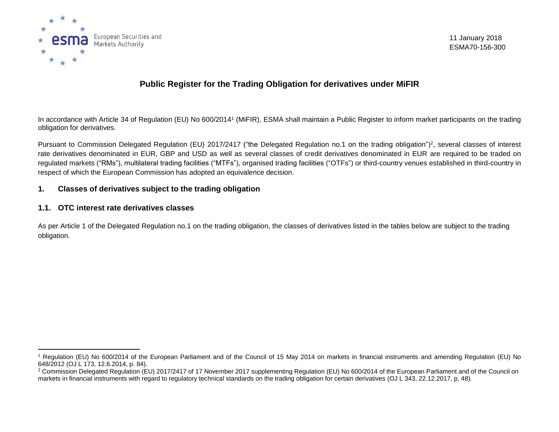

11 January 2018 ESMA70-156-300

# **Public Register for the Trading Obligation for derivatives under MiFIR**

In accordance with Article 34 of Regulation (EU) No 600/2014<sup>1</sup> (MiFIR), ESMA shall maintain a Public Register to inform market participants on the trading obligation for derivatives.

Pursuant to Commission Delegated Regulation (EU) 2017/2417 ("the Delegated Regulation no.1 on the trading obligation")<sup>2</sup>, several classes of interest rate derivatives denominated in EUR, GBP and USD as well as several classes of credit derivatives denominated in EUR are required to be traded on regulated markets ("RMs"), multilateral trading facilities ("MTFs"), organised trading facilities ("OTFs") or third-country venues established in third-country in respect of which the European Commission has adopted an equivalence decision.

### **1. Classes of derivatives subject to the trading obligation**

### **1.1. OTC interest rate derivatives classes**

 $\overline{a}$ 

As per Article 1 of the Delegated Regulation no.1 on the trading obligation, the classes of derivatives listed in the tables below are subject to the trading obligation.

<sup>1</sup> Regulation (EU) No 600/2014 of the European Parliament and of the Council of 15 May 2014 on markets in financial instruments and amending Regulation (EU) No 648/2012 (OJ L 173, 12.6.2014, p. 84).

<sup>&</sup>lt;sup>2</sup> Commission Delegated Regulation (EU) 2017/2417 of 17 November 2017 supplementing Regulation (EU) No 600/2014 of the European Parliament and of the Council on markets in financial instruments with regard to regulatory technical standards on the trading obligation for certain derivatives (OJ L 343, 22.12.2017, p. 48).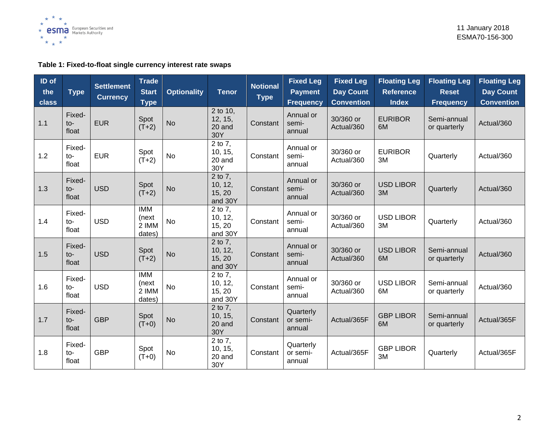

## **Table 1: Fixed-to-float single currency interest rate swaps**

| ID of<br>the<br>class | <b>Type</b>              | <b>Settlement</b><br><b>Currency</b> | <b>Trade</b><br><b>Start</b><br><b>Type</b> | <b>Optionality</b> | <b>Tenor</b>                            | <b>Notional</b><br><b>Type</b> | <b>Fixed Leg</b><br><b>Payment</b><br><b>Frequency</b> | <b>Fixed Leg</b><br><b>Day Count</b><br><b>Convention</b> | <b>Floating Leg</b><br><b>Reference</b><br><b>Index</b> | <b>Floating Leg</b><br><b>Reset</b><br><b>Frequency</b> | <b>Floating Leg</b><br><b>Day Count</b><br><b>Convention</b> |
|-----------------------|--------------------------|--------------------------------------|---------------------------------------------|--------------------|-----------------------------------------|--------------------------------|--------------------------------------------------------|-----------------------------------------------------------|---------------------------------------------------------|---------------------------------------------------------|--------------------------------------------------------------|
| 1.1                   | Fixed-<br>$to-$<br>float | <b>EUR</b>                           | Spot<br>$(T+2)$                             | <b>No</b>          | 2 to 10,<br>12, 15,<br>20 and<br>30Y    | Constant                       | Annual or<br>semi-<br>annual                           | 30/360 or<br>Actual/360                                   | <b>EURIBOR</b><br>6M                                    | Semi-annual<br>or quarterly                             | Actual/360                                                   |
| 1.2                   | Fixed-<br>to-<br>float   | <b>EUR</b>                           | Spot<br>$(T+2)$                             | <b>No</b>          | 2 to 7,<br>10, 15,<br>20 and<br>30Y     | Constant                       | Annual or<br>semi-<br>annual                           | 30/360 or<br>Actual/360                                   | <b>EURIBOR</b><br>3M                                    | Quarterly                                               | Actual/360                                                   |
| 1.3                   | Fixed-<br>to-<br>float   | <b>USD</b>                           | Spot<br>$(T+2)$                             | <b>No</b>          | 2 to 7,<br>10, 12,<br>15, 20<br>and 30Y | Constant                       | Annual or<br>semi-<br>annual                           | 30/360 or<br>Actual/360                                   | <b>USD LIBOR</b><br>3M                                  | Quarterly                                               | Actual/360                                                   |
| 1.4                   | Fixed-<br>$to-$<br>float | <b>USD</b>                           | <b>IMM</b><br>(next<br>2 IMM<br>dates)      | <b>No</b>          | 2 to 7,<br>10, 12,<br>15, 20<br>and 30Y | Constant                       | Annual or<br>semi-<br>annual                           | 30/360 or<br>Actual/360                                   | <b>USD LIBOR</b><br>3M                                  | Quarterly                                               | Actual/360                                                   |
| 1.5                   | Fixed-<br>$to-$<br>float | <b>USD</b>                           | Spot<br>$(T+2)$                             | <b>No</b>          | 2 to 7,<br>10, 12,<br>15, 20<br>and 30Y | Constant                       | Annual or<br>semi-<br>annual                           | 30/360 or<br>Actual/360                                   | <b>USD LIBOR</b><br>6M                                  | Semi-annual<br>or quarterly                             | Actual/360                                                   |
| 1.6                   | Fixed-<br>$to-$<br>float | <b>USD</b>                           | <b>IMM</b><br>(next<br>2 IMM<br>dates)      | <b>No</b>          | 2 to 7,<br>10, 12,<br>15, 20<br>and 30Y | Constant                       | Annual or<br>semi-<br>annual                           | 30/360 or<br>Actual/360                                   | <b>USD LIBOR</b><br>6M                                  | Semi-annual<br>or quarterly                             | Actual/360                                                   |
| 1.7                   | Fixed-<br>$to-$<br>float | <b>GBP</b>                           | Spot<br>$(T+0)$                             | <b>No</b>          | 2 to 7,<br>10, 15,<br>20 and<br>30Y     | Constant                       | Quarterly<br>or semi-<br>annual                        | Actual/365F                                               | <b>GBP LIBOR</b><br>6M                                  | Semi-annual<br>or quarterly                             | Actual/365F                                                  |
| 1.8                   | Fixed-<br>to-<br>float   | <b>GBP</b>                           | Spot<br>$(T+0)$                             | <b>No</b>          | 2 to 7,<br>10, 15,<br>20 and<br>30Y     | Constant                       | Quarterly<br>or semi-<br>annual                        | Actual/365F                                               | <b>GBP LIBOR</b><br>3M                                  | Quarterly                                               | Actual/365F                                                  |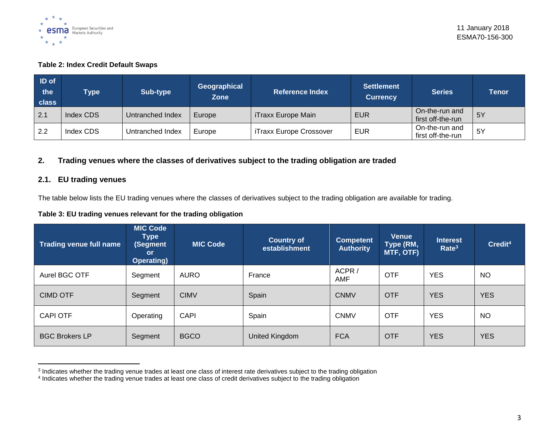

### **Table 2: Index Credit Default Swaps**

| <b>ID</b> of<br>$ $ the<br>class | <b>Type</b> | Sub-type         | Geographical<br><b>Zone</b> | <b>Reference Index</b>    | <b>Settlement</b><br><b>Currency</b> | <b>Series</b>                       | <b>Tenor</b> |
|----------------------------------|-------------|------------------|-----------------------------|---------------------------|--------------------------------------|-------------------------------------|--------------|
| 2.1                              | Index CDS   | Untranched Index | Europe                      | <b>iTraxx Europe Main</b> | <b>EUR</b>                           | On-the-run and<br>first off-the-run | 5Y           |
| 2.2                              | Index CDS   | Untranched Index | Europe                      | iTraxx Europe Crossover   | <b>EUR</b>                           | On-the-run and<br>first off-the-run | -5Y          |

### **2. Trading venues where the classes of derivatives subject to the trading obligation are traded**

### **2.1. EU trading venues**

The table below lists the EU trading venues where the classes of derivatives subject to the trading obligation are available for trading.

### **Table 3: EU trading venues relevant for the trading obligation**

| Trading venue full name | <b>MIC Code</b><br><b>Type</b><br>(Segment<br><b>or</b><br>Operating) | <b>MIC Code</b> | <b>Country of</b><br>establishment | <b>Competent</b><br><b>Authority</b> | Venue<br>Type (RM,<br>MTF, OTF) | <b>Interest</b><br>Rate <sup>3</sup> | Credit <sup>4</sup> |
|-------------------------|-----------------------------------------------------------------------|-----------------|------------------------------------|--------------------------------------|---------------------------------|--------------------------------------|---------------------|
| Aurel BGC OTF           | Segment                                                               | AURO            | France                             | ACPR/<br>AMF                         | <b>OTF</b>                      | <b>YES</b>                           | <b>NO</b>           |
| <b>CIMD OTF</b>         | Segment                                                               | <b>CIMV</b>     | Spain                              | <b>CNMV</b>                          | <b>OTF</b>                      | <b>YES</b>                           | <b>YES</b>          |
| <b>CAPI OTF</b>         | Operating                                                             | <b>CAPI</b>     | Spain                              | <b>CNMV</b>                          | <b>OTF</b>                      | <b>YES</b>                           | <b>NO</b>           |
| <b>BGC Brokers LP</b>   | Segment                                                               | <b>BGCO</b>     | United Kingdom                     | <b>FCA</b>                           | <b>OTF</b>                      | <b>YES</b>                           | <b>YES</b>          |

a<br>Indicates whether the trading venue trades at least one class of interest rate derivatives subject to the trading obligation<br>Indicates whether the trading venue trades at least one class of credit derivatives subject to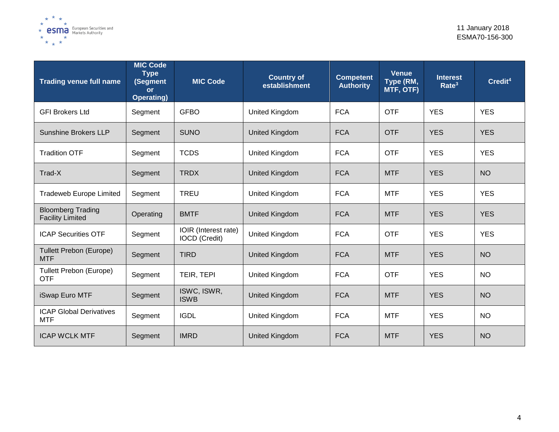

| <b>Trading venue full name</b>                      | <b>MIC Code</b><br><b>Type</b><br>(Segment<br><b>or</b><br><b>Operating)</b> | <b>MIC Code</b>                              | <b>Country of</b><br>establishment | <b>Competent</b><br><b>Authority</b> | <b>Venue</b><br>Type (RM,<br>MTF, OTF) | <b>Interest</b><br>Rate <sup>3</sup> | Credit <sup>4</sup> |
|-----------------------------------------------------|------------------------------------------------------------------------------|----------------------------------------------|------------------------------------|--------------------------------------|----------------------------------------|--------------------------------------|---------------------|
| <b>GFI Brokers Ltd</b>                              | Segment                                                                      | <b>GFBO</b>                                  | United Kingdom                     | <b>FCA</b>                           | <b>OTF</b>                             | <b>YES</b>                           | <b>YES</b>          |
| <b>Sunshine Brokers LLP</b>                         | Segment                                                                      | <b>SUNO</b>                                  | <b>United Kingdom</b>              | <b>FCA</b>                           | <b>OTF</b>                             | <b>YES</b>                           | <b>YES</b>          |
| <b>Tradition OTF</b>                                | Segment                                                                      | <b>TCDS</b>                                  | United Kingdom                     | <b>FCA</b>                           | <b>OTF</b>                             | <b>YES</b>                           | <b>YES</b>          |
| Trad-X                                              | Segment                                                                      | <b>TRDX</b>                                  | <b>United Kingdom</b>              | <b>FCA</b>                           | <b>MTF</b>                             | <b>YES</b>                           | <b>NO</b>           |
| <b>Tradeweb Europe Limited</b>                      | Segment                                                                      | <b>TREU</b>                                  | United Kingdom                     | <b>FCA</b>                           | <b>MTF</b>                             | <b>YES</b>                           | <b>YES</b>          |
| <b>Bloomberg Trading</b><br><b>Facility Limited</b> | Operating                                                                    | <b>BMTF</b>                                  | <b>United Kingdom</b>              | <b>FCA</b>                           | <b>MTF</b>                             | <b>YES</b>                           | <b>YES</b>          |
| <b>ICAP Securities OTF</b>                          | Segment                                                                      | IOIR (Interest rate)<br><b>IOCD</b> (Credit) | United Kingdom                     | <b>FCA</b>                           | <b>OTF</b>                             | <b>YES</b>                           | <b>YES</b>          |
| <b>Tullett Prebon (Europe)</b><br><b>MTF</b>        | Segment                                                                      | <b>TIRD</b>                                  | <b>United Kingdom</b>              | <b>FCA</b>                           | <b>MTF</b>                             | <b>YES</b>                           | <b>NO</b>           |
| <b>Tullett Prebon (Europe)</b><br><b>OTF</b>        | Segment                                                                      | TEIR, TEPI                                   | United Kingdom                     | <b>FCA</b>                           | <b>OTF</b>                             | <b>YES</b>                           | <b>NO</b>           |
| iSwap Euro MTF                                      | Segment                                                                      | ISWC, ISWR,<br><b>ISWB</b>                   | <b>United Kingdom</b>              | <b>FCA</b>                           | <b>MTF</b>                             | <b>YES</b>                           | <b>NO</b>           |
| <b>ICAP Global Derivatives</b><br><b>MTF</b>        | Segment                                                                      | <b>IGDL</b>                                  | United Kingdom                     | <b>FCA</b>                           | <b>MTF</b>                             | <b>YES</b>                           | <b>NO</b>           |
| <b>ICAP WCLK MTF</b>                                | Segment                                                                      | <b>IMRD</b>                                  | <b>United Kingdom</b>              | <b>FCA</b>                           | <b>MTF</b>                             | <b>YES</b>                           | <b>NO</b>           |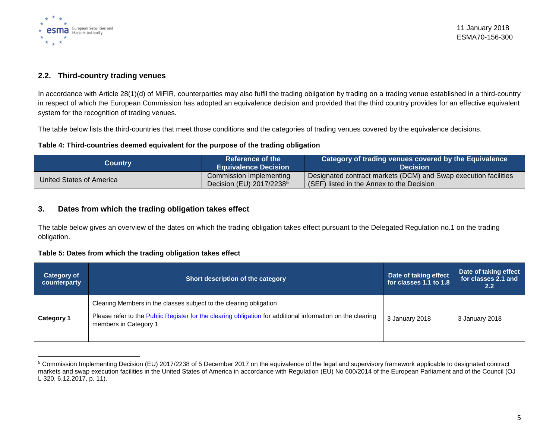

### **2.2. Third-country trading venues**

In accordance with Article 28(1)(d) of MiFIR, counterparties may also fulfil the trading obligation by trading on a trading venue established in a third-country in respect of which the European Commission has adopted an equivalence decision and provided that the third country provides for an effective equivalent system for the recognition of trading venues.

The table below lists the third-countries that meet those conditions and the categories of trading venues covered by the equivalence decisions.

### **Table 4: Third-countries deemed equivalent for the purpose of the trading obligation**

| Country                  | <b>DReference of the </b><br><b>Equivalence Decision</b>        | $\,$ Category of trading venues covered by the Equivalence $\,$<br>Decision                                  |
|--------------------------|-----------------------------------------------------------------|--------------------------------------------------------------------------------------------------------------|
| United States of America | Commission Implementing<br>Decision (EU) 2017/2238 <sup>5</sup> | Designated contract markets (DCM) and Swap execution facilities<br>(SEF) listed in the Annex to the Decision |

### **3. Dates from which the trading obligation takes effect**

The table below gives an overview of the dates on which the trading obligation takes effect pursuant to the Delegated Regulation no.1 on the trading obligation.

#### **Table 5: Dates from which the trading obligation takes effect**

| <b>Category of</b><br>counterparty | Short description of the category                                                                                                                                                                         | Date of taking effect<br>for classes 1.1 to 1.8 | Date of taking effect<br>for classes 2.1 and<br>$2.2^{\circ}$ |
|------------------------------------|-----------------------------------------------------------------------------------------------------------------------------------------------------------------------------------------------------------|-------------------------------------------------|---------------------------------------------------------------|
| <b>Category 1</b>                  | Clearing Members in the classes subject to the clearing obligation<br>Please refer to the Public Register for the clearing obligation for additional information on the clearing<br>members in Category 1 | 3 January 2018                                  | 3 January 2018                                                |

 $\overline{a}$ <sup>5</sup> Commission Implementing Decision (EU) 2017/2238 of 5 December 2017 on the equivalence of the legal and supervisory framework applicable to designated contract markets and swap execution facilities in the United States of America in accordance with Regulation (EU) No 600/2014 of the European Parliament and of the Council (OJ L 320, 6.12.2017, p. 11).